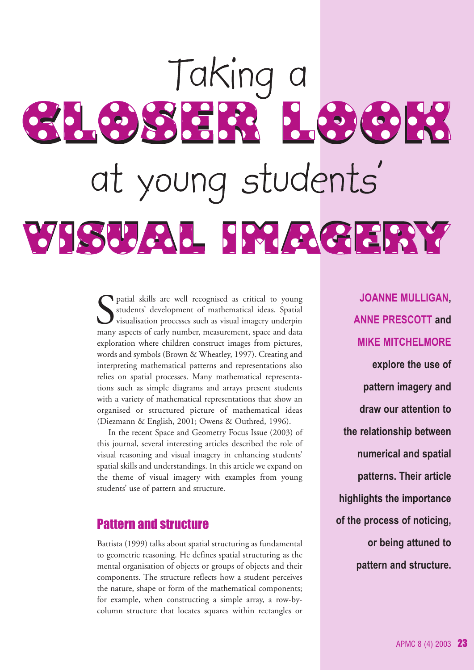# Taking a 3168378 169618 at young students' VISUAL IMAGGERY

 $\begin{tabular}{l} \quad \textbf{Partial skills are well recognised as critical to young students' development of mathematical ideas. Spatial visualization processes such as visual imaginary, underpin many aspects of early number, measurement, space, and data. \end{tabular}$ students' development of mathematical ideas. Spatial visualisation processes such as visual imagery underpin many aspects of early number, measurement, space and data exploration where children construct images from pictures, words and symbols (Brown & Wheatley, 1997). Creating and interpreting mathematical patterns and representations also relies on spatial processes. Many mathematical representations such as simple diagrams and arrays present students with a variety of mathematical representations that show an organised or structured picture of mathematical ideas (Diezmann & English, 2001; Owens & Outhred, 1996).

In the recent Space and Geometry Focus Issue (2003) of this journal, several interesting articles described the role of visual reasoning and visual imagery in enhancing students' spatial skills and understandings. In this article we expand on the theme of visual imagery with examples from young students' use of pattern and structure.

### Pattern and structure

Battista (1999) talks about spatial structuring as fundamental to geometric reasoning. He defines spatial structuring as the mental organisation of objects or groups of objects and their components. The structure reflects how a student perceives the nature, shape or form of the mathematical components; for example, when constructing a simple array, a row-bycolumn structure that locates squares within rectangles or

**JOANNE MULLIGAN, ANNE PRESCOTT and MIKE MITCHELMORE explore the use of pattern imagery and draw our attention to the relationship between numerical and spatial patterns. Their article highlights the importance of the process of noticing, or being attuned to pattern and structure.**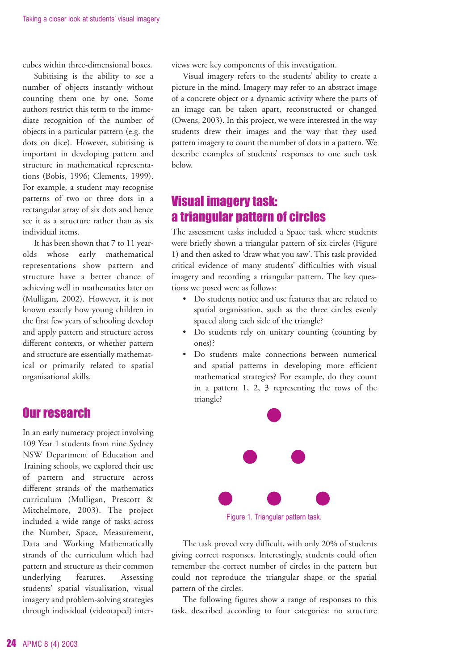cubes within three-dimensional boxes.

Subitising is the ability to see a number of objects instantly without counting them one by one. Some authors restrict this term to the immediate recognition of the number of objects in a particular pattern (e.g. the dots on dice). However, subitising is important in developing pattern and structure in mathematical representations (Bobis, 1996; Clements, 1999). For example, a student may recognise patterns of two or three dots in a rectangular array of six dots and hence see it as a structure rather than as six individual items.

It has been shown that 7 to 11 yearolds whose early mathematical representations show pattern and structure have a better chance of achieving well in mathematics later on (Mulligan, 2002). However, it is not known exactly how young children in the first few years of schooling develop and apply pattern and structure across different contexts, or whether pattern and structure are essentially mathematical or primarily related to spatial organisational skills.

### Our research

In an early numeracy project involving 109 Year 1 students from nine Sydney NSW Department of Education and Training schools, we explored their use of pattern and structure across different strands of the mathematics curriculum (Mulligan, Prescott & Mitchelmore, 2003). The project included a wide range of tasks across the Number, Space, Measurement, Data and Working Mathematically strands of the curriculum which had pattern and structure as their common underlying features. Assessing students' spatial visualisation, visual imagery and problem-solving strategies through individual (videotaped) interviews were key components of this investigation.

Visual imagery refers to the students' ability to create a picture in the mind. Imagery may refer to an abstract image of a concrete object or a dynamic activity where the parts of an image can be taken apart, reconstructed or changed (Owens, 2003). In this project, we were interested in the way students drew their images and the way that they used pattern imagery to count the number of dots in a pattern. We describe examples of students' responses to one such task below.

## Visual imagery task: a triangular pattern of circles

The assessment tasks included a Space task where students were briefly shown a triangular pattern of six circles (Figure 1) and then asked to 'draw what you saw'. This task provided critical evidence of many students' difficulties with visual imagery and recording a triangular pattern. The key questions we posed were as follows:

- Do students notice and use features that are related to spatial organisation, such as the three circles evenly spaced along each side of the triangle?
- Do students rely on unitary counting (counting by ones)?
- Do students make connections between numerical and spatial patterns in developing more efficient mathematical strategies? For example, do they count in a pattern 1, 2, 3 representing the rows of the triangle?



The task proved very difficult, with only 20% of students giving correct responses. Interestingly, students could often remember the correct number of circles in the pattern but could not reproduce the triangular shape or the spatial pattern of the circles.

The following figures show a range of responses to this task, described according to four categories: no structure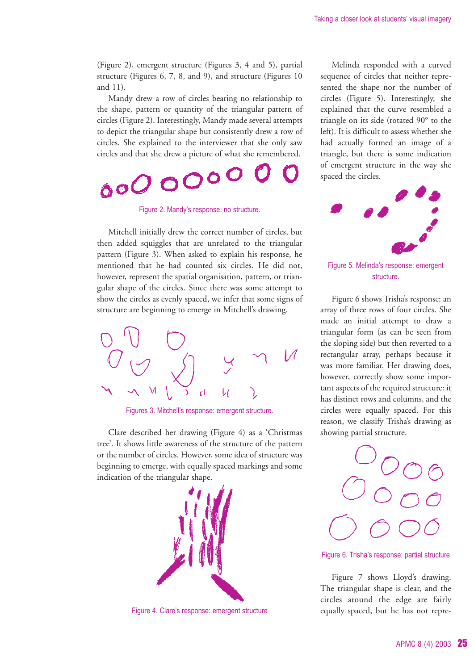(Figure 2), emergent structure (Figures 3, 4 and 5), partial structure (Figures 6, 7, 8, and 9), and structure (Figures 10 and 11).

Mandy drew a row of circles bearing no relationship to the shape, pattern or quantity of the triangular pattern of circles (Figure 2). Interestingly, Mandy made several attempts to depict the triangular shape but consistently drew a row of circles. She explained to the interviewer that she only saw circles and that she drew a picture of what she remembered.

# 0000000

Figure 2. Mandy's response: no structure.

Mitchell initially drew the correct number of circles, but then added squiggles that are unrelated to the triangular pattern (Figure 3). When asked to explain his response, he mentioned that he had counted six circles. He did not, however, represent the spatial organisation, pattern, or triangular shape of the circles. Since there was some attempt to show the circles as evenly spaced, we infer that some signs of structure are beginning to emerge in Mitchell's drawing.



Figures 3. Mitchell's response: emergent structure.

Clare described her drawing (Figure 4) as a 'Christmas tree'. It shows little awareness of the structure of the pattern or the number of circles. However, some idea of structure was beginning to emerge, with equally spaced markings and some indication of the triangular shape.



Figure 4. Clare's response: emergent structure

Melinda responded with a curved sequence of circles that neither represented the shape nor the number of circles (Figure 5). Interestingly, she explained that the curve resembled a triangle on its side (rotated 90° to the left). It is difficult to assess whether she had actually formed an image of a triangle, but there is some indication of emergent structure in the way she spaced the circles.



Figure 5. Melinda's response: emergent structure.

Figure 6 shows Trisha's response: an array of three rows of four circles. She made an initial attempt to draw a triangular form (as can be seen from the sloping side) but then reverted to a rectangular array, perhaps because it was more familiar. Her drawing does, however, correctly show some important aspects of the required structure: it has distinct rows and columns, and the circles were equally spaced. For this reason, we classify Trisha's drawing as showing partial structure.



Figure 6. Trisha's response: partial structure

Figure 7 shows Lloyd's drawing. The triangular shape is clear, and the circles around the edge are fairly equally spaced, but he has not repre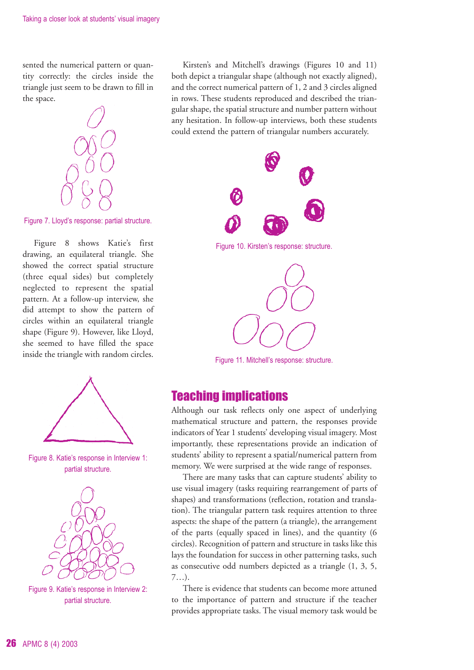sented the numerical pattern or quantity correctly: the circles inside the triangle just seem to be drawn to fill in the space.



Figure 7. Lloyd's response: partial structure.

Figure 8 shows Katie's first drawing, an equilateral triangle. She showed the correct spatial structure (three equal sides) but completely neglected to represent the spatial pattern. At a follow-up interview, she did attempt to show the pattern of circles within an equilateral triangle shape (Figure 9). However, like Lloyd, she seemed to have filled the space inside the triangle with random circles.



Figure 8. Katie's response in Interview 1: partial structure.





Kirsten's and Mitchell's drawings (Figures 10 and 11) both depict a triangular shape (although not exactly aligned), and the correct numerical pattern of 1, 2 and 3 circles aligned in rows. These students reproduced and described the triangular shape, the spatial structure and number pattern without any hesitation. In follow-up interviews, both these students could extend the pattern of triangular numbers accurately.



Figure 10. Kirsten's response: structure.



Figure 11. Mitchell's response: structure.

### Teaching implications

Although our task reflects only one aspect of underlying mathematical structure and pattern, the responses provide indicators of Year 1 students' developing visual imagery. Most importantly, these representations provide an indication of students' ability to represent a spatial/numerical pattern from memory. We were surprised at the wide range of responses.

There are many tasks that can capture students' ability to use visual imagery (tasks requiring rearrangement of parts of shapes) and transformations (reflection, rotation and translation). The triangular pattern task requires attention to three aspects: the shape of the pattern (a triangle), the arrangement of the parts (equally spaced in lines), and the quantity (6 circles). Recognition of pattern and structure in tasks like this lays the foundation for success in other patterning tasks, such as consecutive odd numbers depicted as a triangle (1, 3, 5, 7…).

There is evidence that students can become more attuned to the importance of pattern and structure if the teacher provides appropriate tasks. The visual memory task would be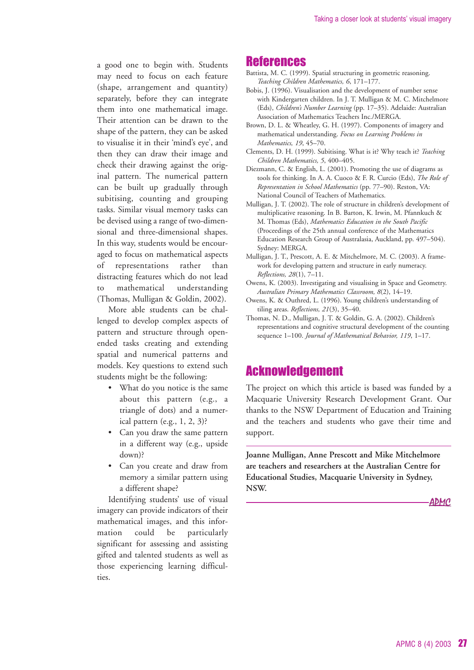a good one to begin with. Students may need to focus on each feature (shape, arrangement and quantity) separately, before they can integrate them into one mathematical image. Their attention can be drawn to the shape of the pattern, they can be asked to visualise it in their 'mind's eye', and then they can draw their image and check their drawing against the original pattern. The numerical pattern can be built up gradually through subitising, counting and grouping tasks. Similar visual memory tasks can be devised using a range of two-dimensional and three-dimensional shapes. In this way, students would be encouraged to focus on mathematical aspects of representations rather than distracting features which do not lead mathematical understanding (Thomas, Mulligan & Goldin, 2002).

More able students can be challenged to develop complex aspects of pattern and structure through openended tasks creating and extending spatial and numerical patterns and models. Key questions to extend such students might be the following:

- What do you notice is the same about this pattern (e.g., a triangle of dots) and a numerical pattern (e.g., 1, 2, 3)?
- Can you draw the same pattern in a different way (e.g., upside down)?
- Can you create and draw from memory a similar pattern using a different shape?

Identifying students' use of visual imagery can provide indicators of their mathematical images, and this information could be particularly significant for assessing and assisting gifted and talented students as well as those experiencing learning difficulties.

#### References

- Battista, M. C. (1999). Spatial structuring in geometric reasoning. *Teaching Children Mathematics, 6*, 171–177.
- Bobis, J. (1996). Visualisation and the development of number sense with Kindergarten children. In J. T. Mulligan & M. C. Mitchelmore (Eds), *Children's Number Learning* (pp. 17–35). Adelaide: Australian Association of Mathematics Teachers Inc./MERGA.
- Brown, D. L. & Wheatley, G. H. (1997). Components of imagery and mathematical understanding. *Focus on Learning Problems in Mathematics, 19*, 45–70.
- Clements, D. H. (1999). Subitising. What is it? Why teach it? *Teaching Children Mathematics, 5*, 400–405.
- Diezmann, C. & English, L. (2001). Promoting the use of diagrams as tools for thinking. In A. A. Cuoco & F. R. Curcio (Eds), *The Role of Representation in School Mathematics* (pp. 77–90). Reston, VA: National Council of Teachers of Mathematics.
- Mulligan, J. T. (2002). The role of structure in children's development of multiplicative reasoning. In B. Barton, K. Irwin, M. Pfannkuch & M. Thomas (Eds), *Mathematics Education in the South Pacific* (Proceedings of the 25th annual conference of the Mathematics Education Research Group of Australasia, Auckland, pp. 497–504). Sydney: MERGA.
- Mulligan, J. T., Prescott, A. E. & Mitchelmore, M. C. (2003). A framework for developing pattern and structure in early numeracy. *Reflections, 28*(1), 7–11.
- Owens, K. (2003). Investigating and visualising in Space and Geometry. *Australian Primary Mathematics Classroom, 8*(2), 14–19.
- Owens, K. & Outhred, L. (1996). Young children's understanding of tiling areas. *Reflections, 21*(3), 35–40.
- Thomas, N. D., Mulligan, J. T. & Goldin, G. A. (2002). Children's representations and cognitive structural development of the counting sequence 1–100. *Journal of Mathematical Behavior, 119*, 1–17.

### Acknowledgement

The project on which this article is based was funded by a Macquarie University Research Development Grant. Our thanks to the NSW Department of Education and Training and the teachers and students who gave their time and support.

**Joanne Mulligan, Anne Prescott and Mike Mitchelmore are teachers and researchers at the Australian Centre for Educational Studies, Macquarie University in Sydney, NSW.**

**ADMC**